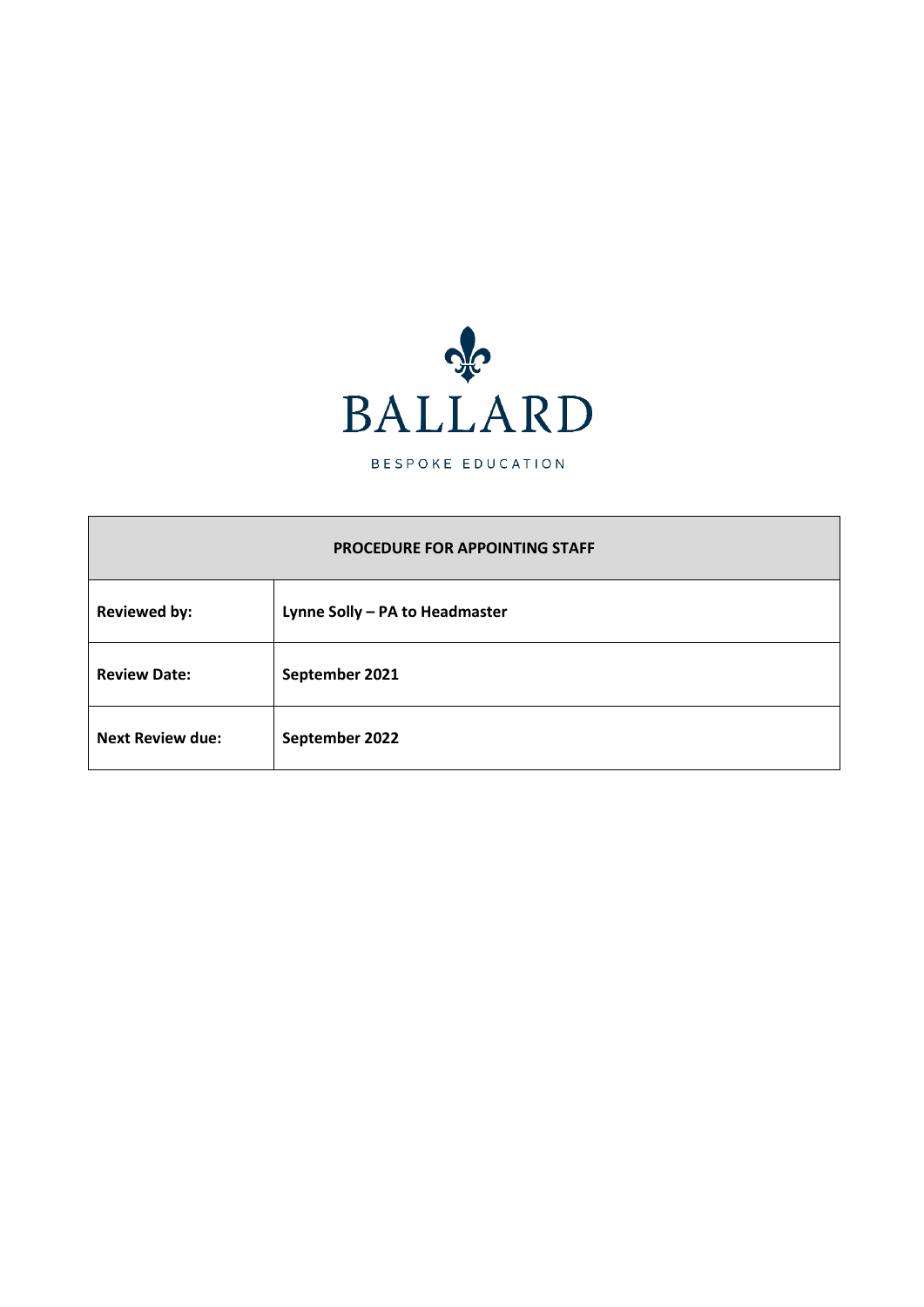

BESPOKE EDUCATION

## **PROCEDURE FOR APPOINTING STAFF**

| <b>Reviewed by:</b>     | Lynne Solly - PA to Headmaster |
|-------------------------|--------------------------------|
| <b>Review Date:</b>     | September 2021                 |
| <b>Next Review due:</b> | September 2022                 |